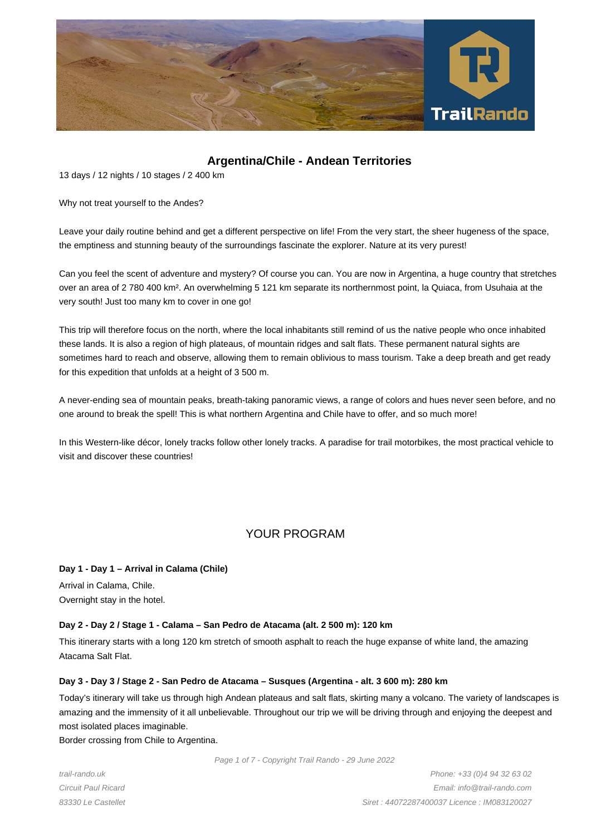

# **Argentina/Chile - Andean Territories**

13 days / 12 nights / 10 stages / 2 400 km

Why not treat yourself to the Andes?

Leave your daily routine behind and get a different perspective on life! From the very start, the sheer hugeness of the space, the emptiness and stunning beauty of the surroundings fascinate the explorer. Nature at its very purest!

Can you feel the scent of adventure and mystery? Of course you can. You are now in Argentina, a huge country that stretches over an area of 2 780 400 km². An overwhelming 5 121 km separate its northernmost point, la Quiaca, from Usuhaia at the very south! Just too many km to cover in one go!

This trip will therefore focus on the north, where the local inhabitants still remind of us the native people who once inhabited these lands. It is also a region of high plateaus, of mountain ridges and salt flats. These permanent natural sights are sometimes hard to reach and observe, allowing them to remain oblivious to mass tourism. Take a deep breath and get ready for this expedition that unfolds at a height of 3 500 m.

A never-ending sea of mountain peaks, breath-taking panoramic views, a range of colors and hues never seen before, and no one around to break the spell! This is what northern Argentina and Chile have to offer, and so much more!

In this Western-like décor, lonely tracks follow other lonely tracks. A paradise for trail motorbikes, the most practical vehicle to visit and discover these countries!

# YOUR PROGRAM

# **Day 1 - Day 1 – Arrival in Calama (Chile)**

Arrival in Calama, Chile. Overnight stay in the hotel.

# **Day 2 - Day 2 / Stage 1 - Calama – San Pedro de Atacama (alt. 2 500 m): 120 km**

This itinerary starts with a long 120 km stretch of smooth asphalt to reach the huge expanse of white land, the amazing Atacama Salt Flat.

# **Day 3 - Day 3 / Stage 2 - San Pedro de Atacama – Susques (Argentina - alt. 3 600 m): 280 km**

Today's itinerary will take us through high Andean plateaus and salt flats, skirting many a volcano. The variety of landscapes is amazing and the immensity of it all unbelievable. Throughout our trip we will be driving through and enjoying the deepest and most isolated places imaginable.

Border crossing from Chile to Argentina.

Page 1 of 7 - Copyright Trail Rando - 29 June 2022

trail-rando.uk Circuit Paul Ricard 83330 Le Castellet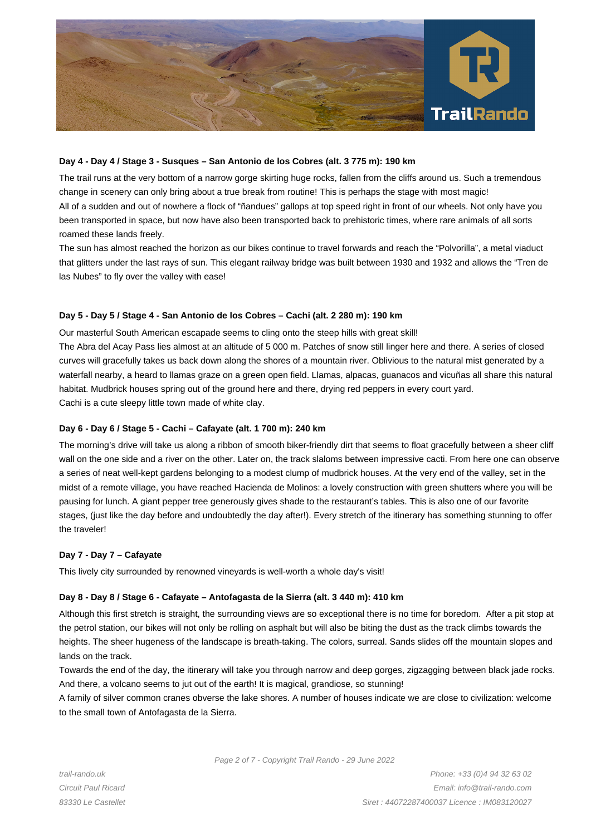

## **Day 4 - Day 4 / Stage 3 - Susques – San Antonio de los Cobres (alt. 3 775 m): 190 km**

The trail runs at the very bottom of a narrow gorge skirting huge rocks, fallen from the cliffs around us. Such a tremendous change in scenery can only bring about a true break from routine! This is perhaps the stage with most magic! All of a sudden and out of nowhere a flock of "ñandues" gallops at top speed right in front of our wheels. Not only have you been transported in space, but now have also been transported back to prehistoric times, where rare animals of all sorts roamed these lands freely.

The sun has almost reached the horizon as our bikes continue to travel forwards and reach the "Polvorilla", a metal viaduct that glitters under the last rays of sun. This elegant railway bridge was built between 1930 and 1932 and allows the "Tren de las Nubes" to fly over the valley with ease!

#### **Day 5 - Day 5 / Stage 4 - San Antonio de los Cobres – Cachi (alt. 2 280 m): 190 km**

Our masterful South American escapade seems to cling onto the steep hills with great skill! The Abra del Acay Pass lies almost at an altitude of 5 000 m. Patches of snow still linger here and there. A series of closed curves will gracefully takes us back down along the shores of a mountain river. Oblivious to the natural mist generated by a waterfall nearby, a heard to llamas graze on a green open field. Llamas, alpacas, guanacos and vicuñas all share this natural habitat. Mudbrick houses spring out of the ground here and there, drying red peppers in every court yard. Cachi is a cute sleepy little town made of white clay.

# **Day 6 - Day 6 / Stage 5 - Cachi – Cafayate (alt. 1 700 m): 240 km**

The morning's drive will take us along a ribbon of smooth biker-friendly dirt that seems to float gracefully between a sheer cliff wall on the one side and a river on the other. Later on, the track slaloms between impressive cacti. From here one can observe a series of neat well-kept gardens belonging to a modest clump of mudbrick houses. At the very end of the valley, set in the midst of a remote village, you have reached Hacienda de Molinos: a lovely construction with green shutters where you will be pausing for lunch. A giant pepper tree generously gives shade to the restaurant's tables. This is also one of our favorite stages, (just like the day before and undoubtedly the day after!). Every stretch of the itinerary has something stunning to offer the traveler!

# **Day 7 - Day 7 – Cafayate**

This lively city surrounded by renowned vineyards is well-worth a whole day's visit!

# **Day 8 - Day 8 / Stage 6 - Cafayate – Antofagasta de la Sierra (alt. 3 440 m): 410 km**

Although this first stretch is straight, the surrounding views are so exceptional there is no time for boredom. After a pit stop at the petrol station, our bikes will not only be rolling on asphalt but will also be biting the dust as the track climbs towards the heights. The sheer hugeness of the landscape is breath-taking. The colors, surreal. Sands slides off the mountain slopes and lands on the track.

Towards the end of the day, the itinerary will take you through narrow and deep gorges, zigzagging between black jade rocks. And there, a volcano seems to jut out of the earth! It is magical, grandiose, so stunning!

A family of silver common cranes obverse the lake shores. A number of houses indicate we are close to civilization: welcome to the small town of Antofagasta de la Sierra.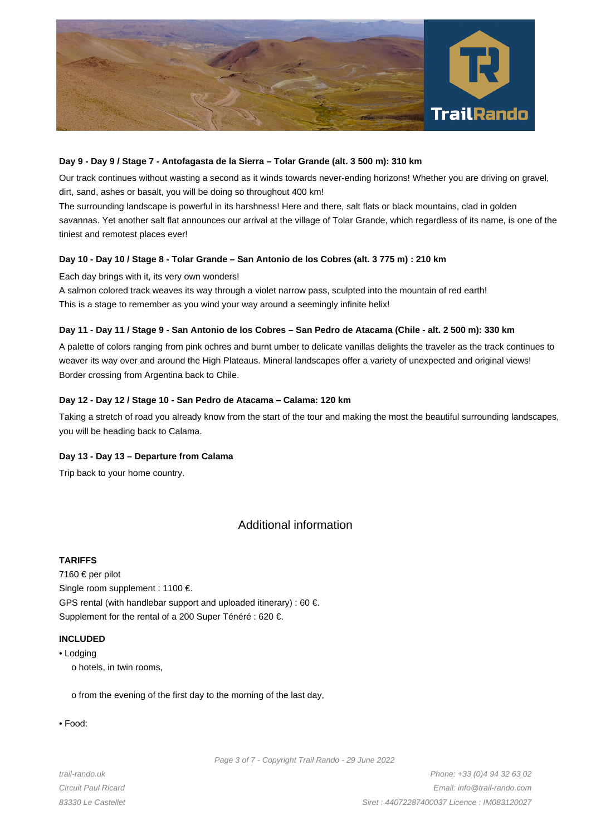

# **Day 9 - Day 9 / Stage 7 - Antofagasta de la Sierra – Tolar Grande (alt. 3 500 m): 310 km**

Our track continues without wasting a second as it winds towards never-ending horizons! Whether you are driving on gravel, dirt, sand, ashes or basalt, you will be doing so throughout 400 km!

The surrounding landscape is powerful in its harshness! Here and there, salt flats or black mountains, clad in golden savannas. Yet another salt flat announces our arrival at the village of Tolar Grande, which regardless of its name, is one of the tiniest and remotest places ever!

# **Day 10 - Day 10 / Stage 8 - Tolar Grande – San Antonio de los Cobres (alt. 3 775 m) : 210 km**

Each day brings with it, its very own wonders!

A salmon colored track weaves its way through a violet narrow pass, sculpted into the mountain of red earth! This is a stage to remember as you wind your way around a seemingly infinite helix!

#### **Day 11 - Day 11 / Stage 9 - San Antonio de los Cobres – San Pedro de Atacama (Chile - alt. 2 500 m): 330 km**

A palette of colors ranging from pink ochres and burnt umber to delicate vanillas delights the traveler as the track continues to weaver its way over and around the High Plateaus. Mineral landscapes offer a variety of unexpected and original views! Border crossing from Argentina back to Chile.

#### **Day 12 - Day 12 / Stage 10 - San Pedro de Atacama – Calama: 120 km**

Taking a stretch of road you already know from the start of the tour and making the most the beautiful surrounding landscapes, you will be heading back to Calama.

# **Day 13 - Day 13 – Departure from Calama**

Trip back to your home country.

# Additional information

# **TARIFFS**

7160 € per pilot Single room supplement : 1100 €. GPS rental (with handlebar support and uploaded itinerary) : 60  $\epsilon$ . Supplement for the rental of a 200 Super Ténéré : 620 €.

### **INCLUDED**

• Lodging

o hotels, in twin rooms,

o from the evening of the first day to the morning of the last day,

• Food:

Page 3 of 7 - Copyright Trail Rando - 29 June 2022

trail-rando.uk Circuit Paul Ricard 83330 Le Castellet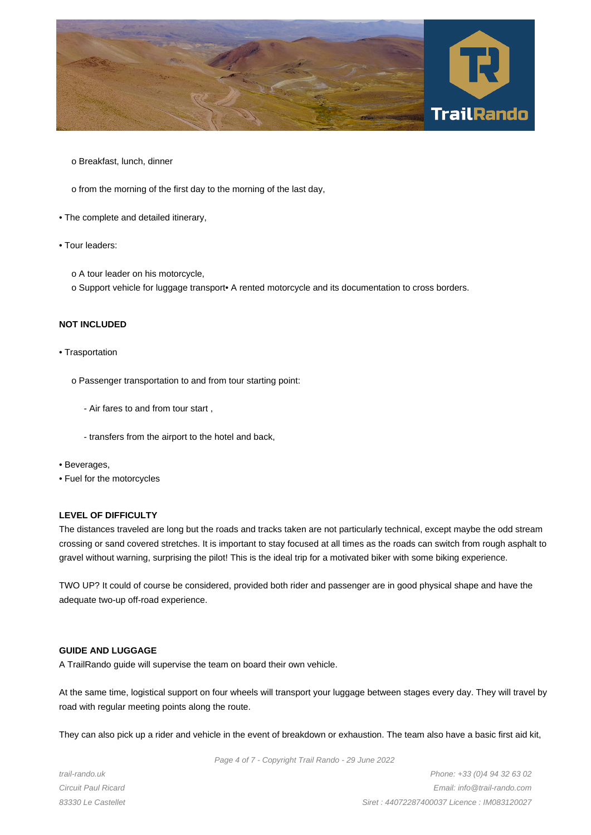

o Breakfast, lunch, dinner

o from the morning of the first day to the morning of the last day,

- The complete and detailed itinerary,
- Tour leaders:
	- o A tour leader on his motorcycle,
	- o Support vehicle for luggage transport• A rented motorcycle and its documentation to cross borders.

# **NOT INCLUDED**

#### • Trasportation

- o Passenger transportation to and from tour starting point:
	- Air fares to and from tour start ,
	- transfers from the airport to the hotel and back,
- Beverages,
- Fuel for the motorcycles

#### **LEVEL OF DIFFICULTY**

The distances traveled are long but the roads and tracks taken are not particularly technical, except maybe the odd stream crossing or sand covered stretches. It is important to stay focused at all times as the roads can switch from rough asphalt to gravel without warning, surprising the pilot! This is the ideal trip for a motivated biker with some biking experience.

TWO UP? It could of course be considered, provided both rider and passenger are in good physical shape and have the adequate two-up off-road experience.

#### **GUIDE AND LUGGAGE**

A TrailRando guide will supervise the team on board their own vehicle.

At the same time, logistical support on four wheels will transport your luggage between stages every day. They will travel by road with regular meeting points along the route.

They can also pick up a rider and vehicle in the event of breakdown or exhaustion. The team also have a basic first aid kit,

Page 4 of 7 - Copyright Trail Rando - 29 June 2022

trail-rando.uk Circuit Paul Ricard 83330 Le Castellet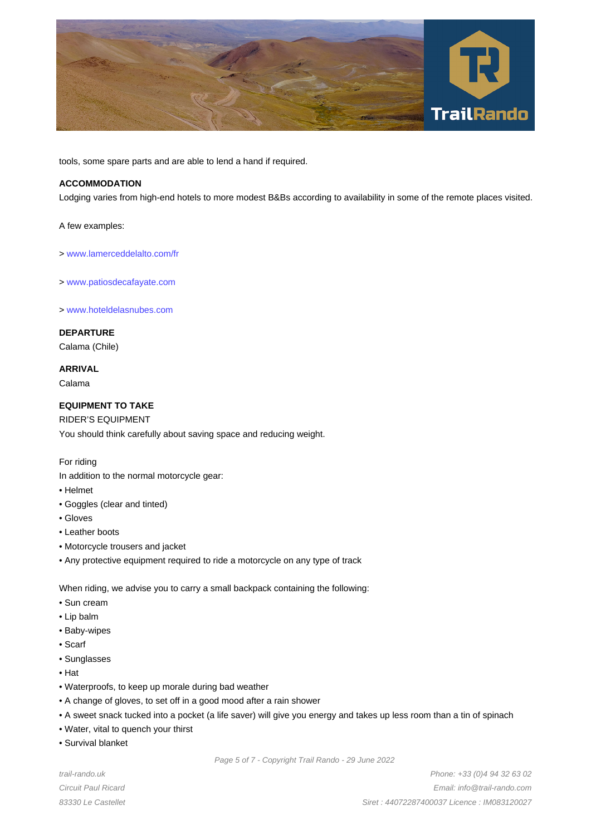

tools, some spare parts and are able to lend a hand if required.

# **ACCOMMODATION**

Lodging varies from high-end hotels to more modest B&Bs according to availability in some of the remote places visited.

A few examples:

- > www.lamerceddelalto.com/fr
- > www.patiosdecafayate.com

> [www.hoteldelasnubes.com](http://www.lamerceddelalto.com/fr)

### **D[EPARTURE](http://www.patiosdecafayate.com)**

Calama (Chile)

### **ARRIVAL**

Calama

### **EQUIPMENT TO TAKE**

RIDER'S EQUIPMENT You should think carefully about saving space and reducing weight.

#### For riding

In addition to the normal motorcycle gear:

- Helmet
- Goggles (clear and tinted)
- Gloves
- Leather boots
- Motorcycle trousers and jacket
- Any protective equipment required to ride a motorcycle on any type of track

When riding, we advise you to carry a small backpack containing the following:

- Sun cream
- Lip balm
- Baby-wipes
- Scarf
- Sunglasses
- Hat
- Waterproofs, to keep up morale during bad weather
- A change of gloves, to set off in a good mood after a rain shower
- A sweet snack tucked into a pocket (a life saver) will give you energy and takes up less room than a tin of spinach
- Water, vital to quench your thirst
- Survival blanket

trail-rando.uk Circuit Paul Ricard 83330 Le Castellet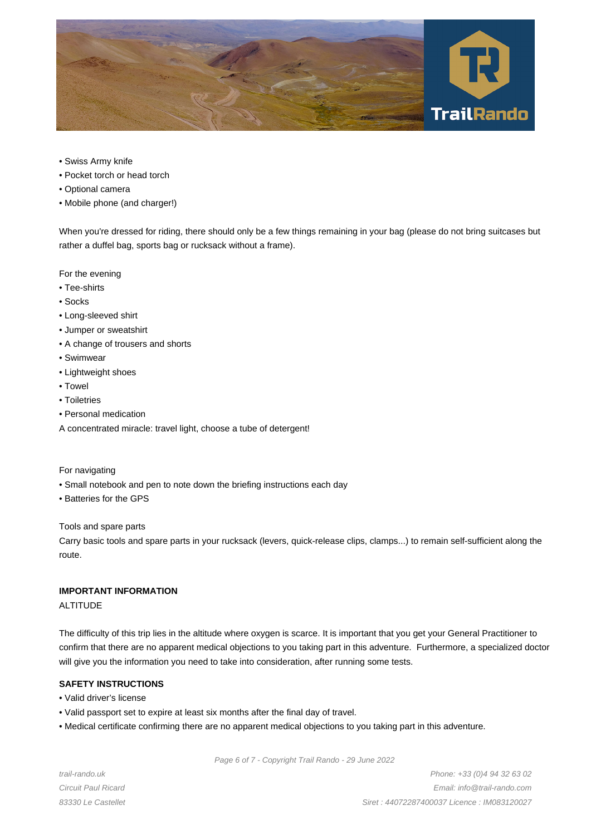

- Swiss Army knife
- Pocket torch or head torch
- Optional camera
- Mobile phone (and charger!)

When you're dressed for riding, there should only be a few things remaining in your bag (please do not bring suitcases but rather a duffel bag, sports bag or rucksack without a frame).

For the evening

- Tee-shirts
- Socks
- Long-sleeved shirt
- Jumper or sweatshirt
- A change of trousers and shorts
- Swimwear
- Lightweight shoes
- Towel
- Toiletries
- Personal medication
- A concentrated miracle: travel light, choose a tube of detergent!

For navigating

- Small notebook and pen to note down the briefing instructions each day
- Batteries for the GPS

Tools and spare parts

Carry basic tools and spare parts in your rucksack (levers, quick-release clips, clamps...) to remain self-sufficient along the route.

# **IMPORTANT INFORMATION**

ALTITUDE

The difficulty of this trip lies in the altitude where oxygen is scarce. It is important that you get your General Practitioner to confirm that there are no apparent medical objections to you taking part in this adventure. Furthermore, a specialized doctor will give you the information you need to take into consideration, after running some tests.

# **SAFETY INSTRUCTIONS**

- Valid driver's license
- Valid passport set to expire at least six months after the final day of travel.
- Medical certificate confirming there are no apparent medical objections to you taking part in this adventure.

Page 6 of 7 - Copyright Trail Rando - 29 June 2022

trail-rando.uk Circuit Paul Ricard 83330 Le Castellet